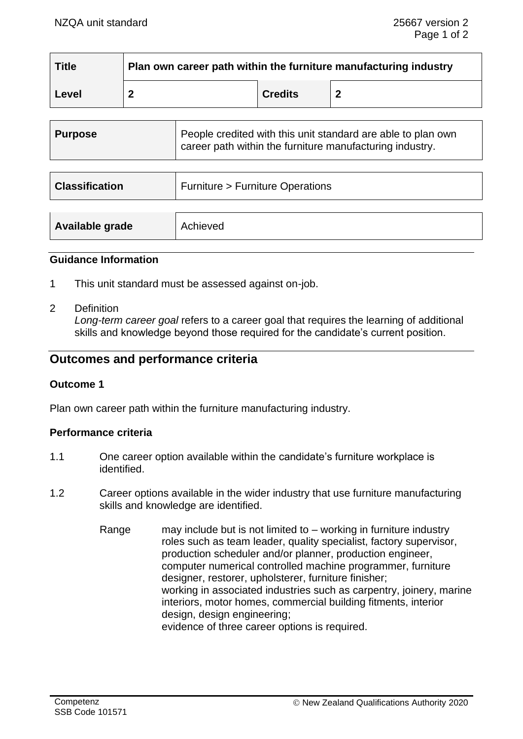| <b>Title</b> | Plan own career path within the furniture manufacturing industry |                |  |
|--------------|------------------------------------------------------------------|----------------|--|
| Level        |                                                                  | <b>Credits</b> |  |

| <b>Purpose</b>        | People credited with this unit standard are able to plan own<br>career path within the furniture manufacturing industry. |
|-----------------------|--------------------------------------------------------------------------------------------------------------------------|
| <b>Classification</b> | <b>Furniture &gt; Furniture Operations</b>                                                                               |
|                       |                                                                                                                          |

# **Guidance Information**

**Available grade** Achieved

- 1 This unit standard must be assessed against on-job.
- 2 Definition

*Long-term career goal* refers to a career goal that requires the learning of additional skills and knowledge beyond those required for the candidate's current position.

# **Outcomes and performance criteria**

#### **Outcome 1**

Plan own career path within the furniture manufacturing industry.

#### **Performance criteria**

- 1.1 One career option available within the candidate's furniture workplace is identified.
- 1.2 Career options available in the wider industry that use furniture manufacturing skills and knowledge are identified.
	- Range may include but is not limited to  $-$  working in furniture industry roles such as team leader, quality specialist, factory supervisor, production scheduler and/or planner, production engineer, computer numerical controlled machine programmer, furniture designer, restorer, upholsterer, furniture finisher; working in associated industries such as carpentry, joinery, marine interiors, motor homes, commercial building fitments, interior design, design engineering; evidence of three career options is required.